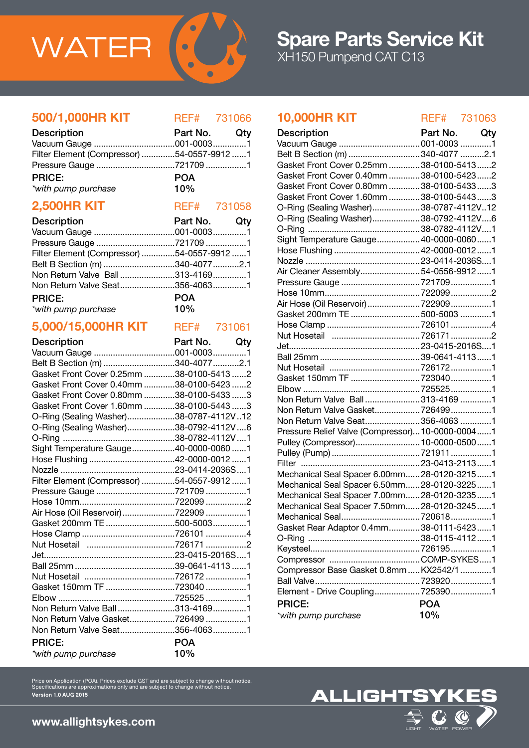

## **500/1,000HR KIT** REF# 731066

| <b>Description</b>                         | Part No. Qty |  |
|--------------------------------------------|--------------|--|
|                                            |              |  |
| Filter Element (Compressor) 54-0557-9912 1 |              |  |
|                                            |              |  |
| <b>PRICE:</b>                              | <b>POA</b>   |  |
| *with pump purchase                        | 10%          |  |

## **2,500HR KIT** REF# 731058

| <b>Description</b>                         | Part No. Qty |  |
|--------------------------------------------|--------------|--|
|                                            |              |  |
|                                            |              |  |
| Filter Element (Compressor) 54-0557-9912 1 |              |  |
| Belt B Section (m) 340-4077 2.1            |              |  |
| Non Return Valve Ball313-41691             |              |  |
|                                            |              |  |
| <b>PRICE:</b>                              | <b>POA</b>   |  |

10%

|  | *with pump purchase |
|--|---------------------|

## 5,000/15,000HR KIT REF# 731061

| <b>Description</b>                         | Part No.   | Qty |
|--------------------------------------------|------------|-----|
|                                            |            |     |
| Belt B Section (m) 340-4077 2.1            |            |     |
| Gasket Front Cover 0.25mm 38-0100-5413 2   |            |     |
| Gasket Front Cover 0.40mm 38-0100-5423 2   |            |     |
| Gasket Front Cover 0.80mm 38-0100-5433 3   |            |     |
| Gasket Front Cover 1.60mm 38-0100-5443 3   |            |     |
| O-Ring (Sealing Washer)38-0787-4112V12     |            |     |
| O-Ring (Sealing Washer)38-0792-4112V6      |            |     |
|                                            |            |     |
| Sight Temperature Gauge40-0000-0060 1      |            |     |
| Hose Flushing 42-0000-0012 1               |            |     |
|                                            |            |     |
| Filter Element (Compressor) 54-0557-9912 1 |            |     |
| Pressure Gauge 721709 1                    |            |     |
|                                            |            |     |
| Air Hose (Oil Reservoir) 722909 1          |            |     |
|                                            |            |     |
|                                            |            |     |
|                                            |            |     |
|                                            |            |     |
|                                            |            |     |
|                                            |            |     |
| Gasket 150mm TF 723040 1                   |            |     |
|                                            |            |     |
| Non Return Valve Ball313-41691             |            |     |
| Non Return Valve Gasket7264991             |            |     |
| Non Return Valve Seat356-40631             |            |     |
| <b>PRICE:</b>                              | <b>POA</b> |     |
| *with pump purchase                        | 10%        |     |

## **10,000HR KIT** REF# 731063

| <b>Description</b>                               | Part No.   | Qty |
|--------------------------------------------------|------------|-----|
| Vacuum Gauge  001-0003 1                         |            |     |
| Belt B Section (m) 340-4077 2.1                  |            |     |
| Gasket Front Cover 0.25mm  38-0100-5413 2        |            |     |
| Gasket Front Cover 0.40mm  38-0100-5423 2        |            |     |
| Gasket Front Cover 0.80mm  38-0100-5433 3        |            |     |
| Gasket Front Cover 1.60mm  38-0100-54433         |            |     |
| O-Ring (Sealing Washer)38-0787-4112V12           |            |     |
| O-Ring (Sealing Washer)38-0792-4112V6            |            |     |
|                                                  |            |     |
| Sight Temperature Gauge 40-0000-00601            |            |     |
| Hose Flushing  42-0000-0012 1                    |            |     |
|                                                  |            |     |
| Air Cleaner Assembly54-0556-99121                |            |     |
|                                                  |            |     |
|                                                  |            |     |
| Air Hose (Oil Reservoir)  722909 1               |            |     |
| Gasket 200mm TE 500-5003 1                       |            |     |
|                                                  |            |     |
|                                                  |            |     |
|                                                  |            |     |
|                                                  |            |     |
|                                                  |            |     |
|                                                  |            |     |
|                                                  |            |     |
| Non Return Valve Ball 313-4169 1                 |            |     |
| Non Return Valve Gasket 7264991                  |            |     |
| Non Return Valve Seat356-4063 1                  |            |     |
| Pressure Relief Valve (Compressor) 10-0000-00041 |            |     |
| Pulley (Compressor) 10-0000-05001                |            |     |
|                                                  |            |     |
|                                                  |            |     |
| Mechanical Seal Spacer 6.00mm 28-0120-32151      |            |     |
| Mechanical Seal Spacer 6.50mm 28-0120-32251      |            |     |
| Mechanical Seal Spacer 7.00mm 28-0120-32351      |            |     |
| Mechanical Seal Spacer 7.50mm 28-0120-32451      |            |     |
| Mechanical Seal7206181                           |            |     |
| Gasket Rear Adaptor 0.4mm38-0111-54231           |            |     |
|                                                  |            |     |
|                                                  |            |     |
|                                                  |            |     |
| Compressor Base Gasket 0.8mm  KX2542/1 1         |            |     |
|                                                  |            |     |
| Element - Drive Coupling7253901                  |            |     |
| <b>PRICE:</b>                                    | <b>POA</b> |     |
| *with pump purchase                              | 10%        |     |

Price on Application (POA). Prices exclude GST and are subject to change without notice. Specifications are approximations only and are subject to change without notice. Version 1.0 AUG 2015